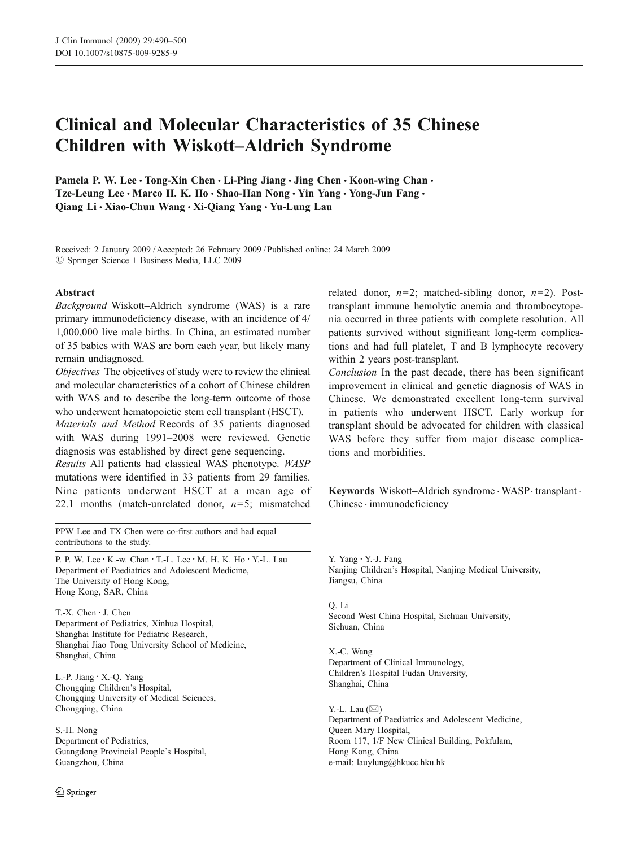# Clinical and Molecular Characteristics of 35 Chinese Children with Wiskott–Aldrich Syndrome

Pamela P. W. Lee . Tong-Xin Chen . Li-Ping Jiang . Jing Chen . Koon-wing Chan . Tze-Leung Lee · Marco H. K. Ho · Shao-Han Nong · Yin Yang · Yong-Jun Fang · Qiang Li & Xiao-Chun Wang & Xi-Qiang Yang & Yu-Lung Lau

Received: 2 January 2009 /Accepted: 26 February 2009 / Published online: 24 March 2009  $\circledcirc$  Springer Science + Business Media, LLC 2009

#### Abstract

Background Wiskott–Aldrich syndrome (WAS) is a rare primary immunodeficiency disease, with an incidence of 4/ 1,000,000 live male births. In China, an estimated number of 35 babies with WAS are born each year, but likely many remain undiagnosed.

Objectives The objectives of study were to review the clinical and molecular characteristics of a cohort of Chinese children with WAS and to describe the long-term outcome of those who underwent hematopoietic stem cell transplant (HSCT).

Materials and Method Records of 35 patients diagnosed with WAS during 1991–2008 were reviewed. Genetic diagnosis was established by direct gene sequencing.

Results All patients had classical WAS phenotype. WASP mutations were identified in 33 patients from 29 families. Nine patients underwent HSCT at a mean age of 22.1 months (match-unrelated donor,  $n=5$ ; mismatched

PPW Lee and TX Chen were co-first authors and had equal contributions to the study.

P. P. W. Lee · K.-w. Chan · T.-L. Lee · M. H. K. Ho · Y.-L. Lau Department of Paediatrics and Adolescent Medicine, The University of Hong Kong, Hong Kong, SAR, China

T.-X. Chen : J. Chen Department of Pediatrics, Xinhua Hospital, Shanghai Institute for Pediatric Research, Shanghai Jiao Tong University School of Medicine, Shanghai, China

L.-P. Jiang : X.-Q. Yang Chongqing Children's Hospital, Chongqing University of Medical Sciences, Chongqing, China

S.-H. Nong Department of Pediatrics, Guangdong Provincial People's Hospital, Guangzhou, China

related donor,  $n=2$ ; matched-sibling donor,  $n=2$ ). Posttransplant immune hemolytic anemia and thrombocytopenia occurred in three patients with complete resolution. All patients survived without significant long-term complications and had full platelet, T and B lymphocyte recovery within 2 years post-transplant.

Conclusion In the past decade, there has been significant improvement in clinical and genetic diagnosis of WAS in Chinese. We demonstrated excellent long-term survival in patients who underwent HSCT. Early workup for transplant should be advocated for children with classical WAS before they suffer from major disease complications and morbidities.

Keywords Wiskott–Aldrich syndrome . WASP. transplant . Chinese . immunodeficiency

Y. Yang : Y.-J. Fang Nanjing Children's Hospital, Nanjing Medical University, Jiangsu, China

Q. Li Second West China Hospital, Sichuan University, Sichuan, China

X.-C. Wang Department of Clinical Immunology, Children's Hospital Fudan University, Shanghai, China

Y.-L. Lau (*\**) Department of Paediatrics and Adolescent Medicine, Queen Mary Hospital, Room 117, 1/F New Clinical Building, Pokfulam, Hong Kong, China e-mail: lauylung@hkucc.hku.hk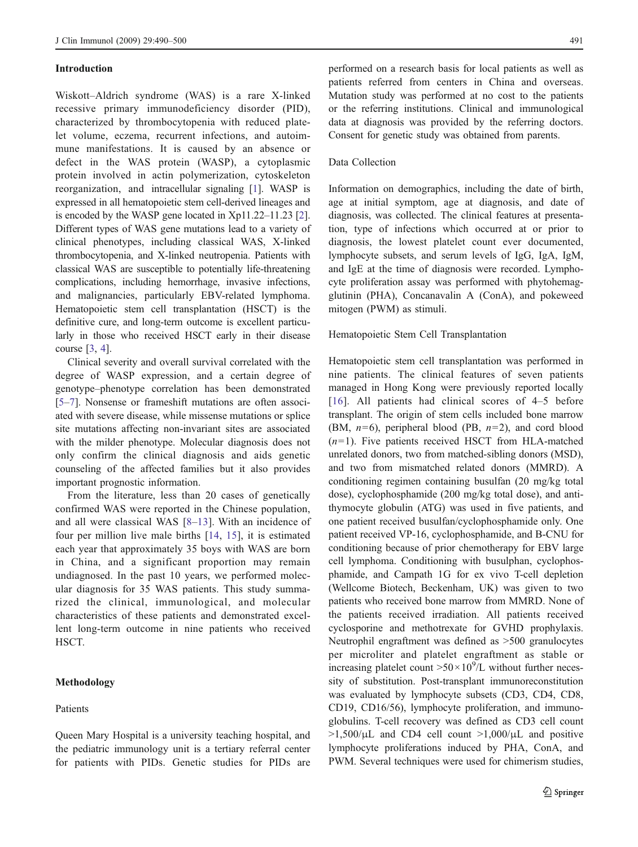## Introduction

Wiskott–Aldrich syndrome (WAS) is a rare X-linked recessive primary immunodeficiency disorder (PID), characterized by thrombocytopenia with reduced platelet volume, eczema, recurrent infections, and autoimmune manifestations. It is caused by an absence or defect in the WAS protein (WASP), a cytoplasmic protein involved in actin polymerization, cytoskeleton reorganization, and intracellular signaling [[1\]](#page-10-0). WASP is expressed in all hematopoietic stem cell-derived lineages and is encoded by the WASP gene located in Xp11.22–11.23 [\[2](#page-10-0)]. Different types of WAS gene mutations lead to a variety of clinical phenotypes, including classical WAS, X-linked thrombocytopenia, and X-linked neutropenia. Patients with classical WAS are susceptible to potentially life-threatening complications, including hemorrhage, invasive infections, and malignancies, particularly EBV-related lymphoma. Hematopoietic stem cell transplantation (HSCT) is the definitive cure, and long-term outcome is excellent particularly in those who received HSCT early in their disease course [\[3](#page-10-0), [4\]](#page-10-0).

Clinical severity and overall survival correlated with the degree of WASP expression, and a certain degree of genotype–phenotype correlation has been demonstrated [[5](#page-10-0)–[7\]](#page-10-0). Nonsense or frameshift mutations are often associated with severe disease, while missense mutations or splice site mutations affecting non-invariant sites are associated with the milder phenotype. Molecular diagnosis does not only confirm the clinical diagnosis and aids genetic counseling of the affected families but it also provides important prognostic information.

From the literature, less than 20 cases of genetically confirmed WAS were reported in the Chinese population, and all were classical WAS [\[8](#page-10-0)–[13\]](#page-10-0). With an incidence of four per million live male births [[14,](#page-10-0) [15](#page-10-0)], it is estimated each year that approximately 35 boys with WAS are born in China, and a significant proportion may remain undiagnosed. In the past 10 years, we performed molecular diagnosis for 35 WAS patients. This study summarized the clinical, immunological, and molecular characteristics of these patients and demonstrated excellent long-term outcome in nine patients who received HSCT.

Queen Mary Hospital is a university teaching hospital, and the pediatric immunology unit is a tertiary referral center for patients with PIDs. Genetic studies for PIDs are

# Methodology

## Patients

performed on a research basis for local patients as well as patients referred from centers in China and overseas. Mutation study was performed at no cost to the patients or the referring institutions. Clinical and immunological data at diagnosis was provided by the referring doctors. Consent for genetic study was obtained from parents.

## Data Collection

Information on demographics, including the date of birth, age at initial symptom, age at diagnosis, and date of diagnosis, was collected. The clinical features at presentation, type of infections which occurred at or prior to diagnosis, the lowest platelet count ever documented, lymphocyte subsets, and serum levels of IgG, IgA, IgM, and IgE at the time of diagnosis were recorded. Lymphocyte proliferation assay was performed with phytohemagglutinin (PHA), Concanavalin A (ConA), and pokeweed mitogen (PWM) as stimuli.

#### Hematopoietic Stem Cell Transplantation

Hematopoietic stem cell transplantation was performed in nine patients. The clinical features of seven patients managed in Hong Kong were previously reported locally [\[16\]](#page-10-0). All patients had clinical scores of 4–5 before transplant. The origin of stem cells included bone marrow (BM,  $n=6$ ), peripheral blood (PB,  $n=2$ ), and cord blood  $(n=1)$ . Five patients received HSCT from HLA-matched unrelated donors, two from matched-sibling donors (MSD), and two from mismatched related donors (MMRD). A conditioning regimen containing busulfan (20 mg/kg total dose), cyclophosphamide (200 mg/kg total dose), and antithymocyte globulin (ATG) was used in five patients, and one patient received busulfan/cyclophosphamide only. One patient received VP-16, cyclophosphamide, and B-CNU for conditioning because of prior chemotherapy for EBV large cell lymphoma. Conditioning with busulphan, cyclophosphamide, and Campath 1G for ex vivo T-cell depletion (Wellcome Biotech, Beckenham, UK) was given to two patients who received bone marrow from MMRD. None of the patients received irradiation. All patients received cyclosporine and methotrexate for GVHD prophylaxis. Neutrophil engraftment was defined as >500 granulocytes per microliter and platelet engraftment as stable or increasing platelet count  $>50 \times 10^9$ /L without further necessity of substitution. Post-transplant immunoreconstitution was evaluated by lymphocyte subsets (CD3, CD4, CD8, CD19, CD16/56), lymphocyte proliferation, and immunoglobulins. T-cell recovery was defined as CD3 cell count  $>1,500/\mu L$  and CD4 cell count  $>1,000/\mu L$  and positive lymphocyte proliferations induced by PHA, ConA, and PWM. Several techniques were used for chimerism studies,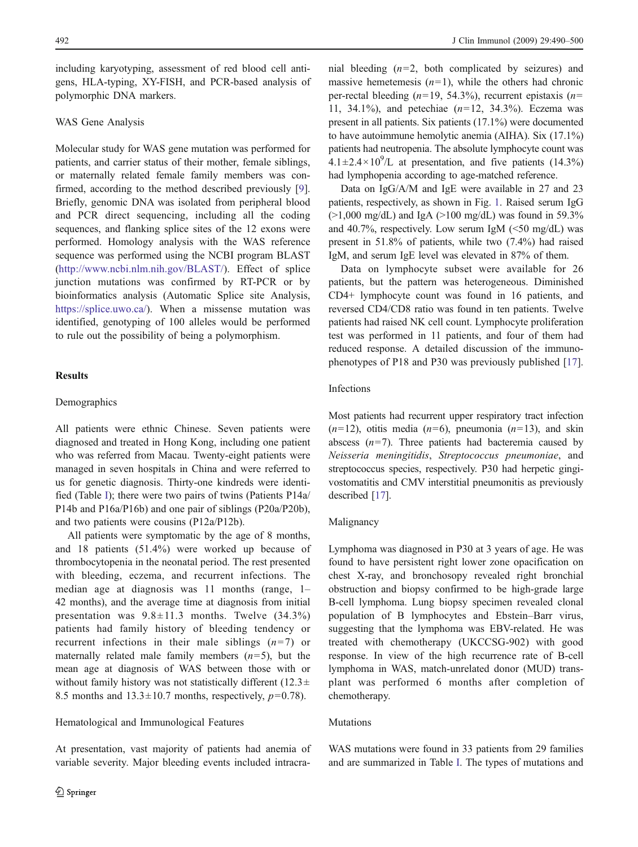including karyotyping, assessment of red blood cell antigens, HLA-typing, XY-FISH, and PCR-based analysis of polymorphic DNA markers.

## WAS Gene Analysis

Molecular study for WAS gene mutation was performed for patients, and carrier status of their mother, female siblings, or maternally related female family members was confirmed, according to the method described previously [\[9](#page-10-0)]. Briefly, genomic DNA was isolated from peripheral blood and PCR direct sequencing, including all the coding sequences, and flanking splice sites of the 12 exons were performed. Homology analysis with the WAS reference sequence was performed using the NCBI program BLAST ([http://www.ncbi.nlm.nih.gov/BLAST/\)](http://www.ncbi.nlm.nih.gov/BLAST/). Effect of splice junction mutations was confirmed by RT-PCR or by bioinformatics analysis (Automatic Splice site Analysis, [https://splice.uwo.ca/\)](https://splice.uwo.ca/). When a missense mutation was identified, genotyping of 100 alleles would be performed to rule out the possibility of being a polymorphism.

## **Results**

## Demographics

All patients were ethnic Chinese. Seven patients were diagnosed and treated in Hong Kong, including one patient who was referred from Macau. Twenty-eight patients were managed in seven hospitals in China and were referred to us for genetic diagnosis. Thirty-one kindreds were identified (Table [I](#page-3-0)); there were two pairs of twins (Patients P14a/ P14b and P16a/P16b) and one pair of siblings (P20a/P20b), and two patients were cousins (P12a/P12b).

All patients were symptomatic by the age of 8 months, and 18 patients (51.4%) were worked up because of thrombocytopenia in the neonatal period. The rest presented with bleeding, eczema, and recurrent infections. The median age at diagnosis was 11 months (range, 1– 42 months), and the average time at diagnosis from initial presentation was  $9.8 \pm 11.3$  months. Twelve  $(34.3\%)$ patients had family history of bleeding tendency or recurrent infections in their male siblings  $(n=7)$  or maternally related male family members  $(n=5)$ , but the mean age at diagnosis of WAS between those with or without family history was not statistically different  $(12.3\pm$ 8.5 months and  $13.3 \pm 10.7$  months, respectively,  $p=0.78$ ).

# Hematological and Immunological Features

At presentation, vast majority of patients had anemia of variable severity. Major bleeding events included intracranial bleeding  $(n=2, \text{ both complicated by seizures})$  and massive hemetemesis  $(n=1)$ , while the others had chronic per-rectal bleeding  $(n=19, 54.3\%)$ , recurrent epistaxis  $(n=19, 54.3\%)$ 11, 34.1%), and petechiae  $(n=12, 34.3\%)$ . Eczema was present in all patients. Six patients (17.1%) were documented to have autoimmune hemolytic anemia (AIHA). Six (17.1%) patients had neutropenia. The absolute lymphocyte count was  $4.1 \pm 2.4 \times 10^9$ /L at presentation, and five patients (14.3%) had lymphopenia according to age-matched reference.

Data on IgG/A/M and IgE were available in 27 and 23 patients, respectively, as shown in Fig. [1.](#page-4-0) Raised serum IgG  $(>1,000 \text{ mg/dL})$  and IgA  $(>100 \text{ mg/dL})$  was found in 59.3% and 40.7%, respectively. Low serum IgM  $(\leq 50 \text{ mg/dL})$  was present in 51.8% of patients, while two (7.4%) had raised IgM, and serum IgE level was elevated in 87% of them.

Data on lymphocyte subset were available for 26 patients, but the pattern was heterogeneous. Diminished CD4+ lymphocyte count was found in 16 patients, and reversed CD4/CD8 ratio was found in ten patients. Twelve patients had raised NK cell count. Lymphocyte proliferation test was performed in 11 patients, and four of them had reduced response. A detailed discussion of the immunophenotypes of P18 and P30 was previously published [\[17](#page-10-0)].

#### Infections

Most patients had recurrent upper respiratory tract infection  $(n=12)$ , otitis media  $(n=6)$ , pneumonia  $(n=13)$ , and skin abscess  $(n=7)$ . Three patients had bacteremia caused by Neisseria meningitidis, Streptococcus pneumoniae, and streptococcus species, respectively. P30 had herpetic gingivostomatitis and CMV interstitial pneumonitis as previously described [\[17\]](#page-10-0).

#### Malignancy

Lymphoma was diagnosed in P30 at 3 years of age. He was found to have persistent right lower zone opacification on chest X-ray, and bronchosopy revealed right bronchial obstruction and biopsy confirmed to be high-grade large B-cell lymphoma. Lung biopsy specimen revealed clonal population of B lymphocytes and Ebstein–Barr virus, suggesting that the lymphoma was EBV-related. He was treated with chemotherapy (UKCCSG-902) with good response. In view of the high recurrence rate of B-cell lymphoma in WAS, match-unrelated donor (MUD) transplant was performed 6 months after completion of chemotherapy.

#### Mutations

WAS mutations were found in 33 patients from 29 families and are summarized in Table [I](#page-3-0). The types of mutations and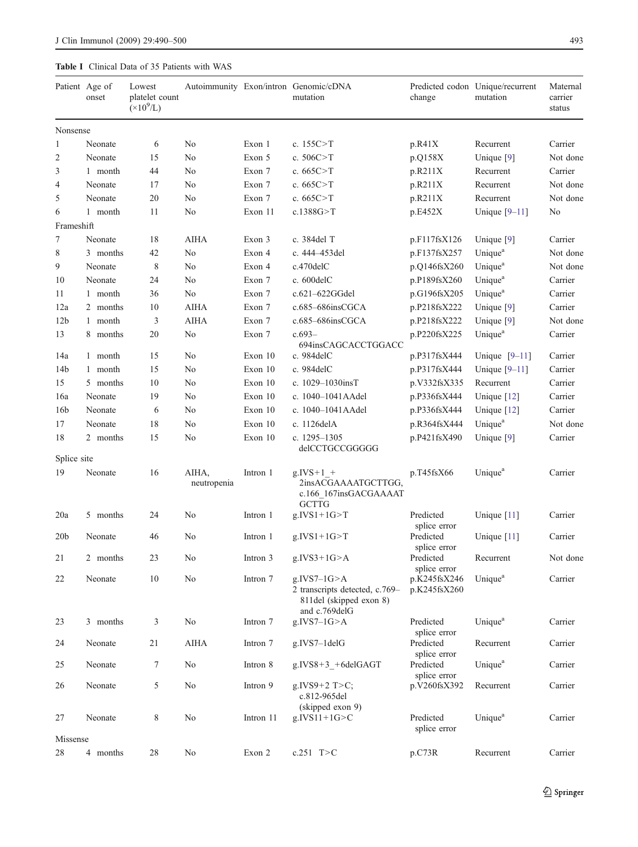# <span id="page-3-0"></span>Table I Clinical Data of 35 Patients with WAS

|                 | Patient Age of<br>onset | Lowest<br>platelet count<br>$(\times 10^9$ /L) |                      |           | Autoimmunity Exon/intron Genomic/cDNA<br>mutation                                             | change                       | Predicted codon Unique/recurrent<br>mutation | Maternal<br>carrier<br>status |
|-----------------|-------------------------|------------------------------------------------|----------------------|-----------|-----------------------------------------------------------------------------------------------|------------------------------|----------------------------------------------|-------------------------------|
| Nonsense        |                         |                                                |                      |           |                                                                                               |                              |                                              |                               |
| $\mathbf{1}$    | Neonate                 | 6                                              | No                   | Exon 1    | c. $155C > T$                                                                                 | p.R41X                       | Recurrent                                    | Carrier                       |
| $\mathfrak{2}$  | Neonate                 | 15                                             | No                   | Exon 5    | c. $506C > T$                                                                                 | p.Q158X                      | Unique $[9]$                                 | Not done                      |
| 3               | 1 month                 | 44                                             | No                   | Exon 7    | c. $665C > T$                                                                                 | p.R211X                      | Recurrent                                    | Carrier                       |
| 4               | Neonate                 | 17                                             | No                   | Exon 7    | c. $665C > T$                                                                                 | p.R211X                      | Recurrent                                    | Not done                      |
| 5               | Neonate                 | 20                                             | No                   | Exon 7    | c. $665C > T$                                                                                 | p.R211X                      | Recurrent                                    | Not done                      |
| 6               | 1 month                 | 11                                             | No                   | Exon 11   | c.1388G > T                                                                                   | p.E452X                      | Unique $[9-11]$                              | No                            |
| Frameshift      |                         |                                                |                      |           |                                                                                               |                              |                                              |                               |
| 7               | Neonate                 | 18                                             | AIHA                 | Exon 3    | c. 384del T                                                                                   | p.F117fsX126                 | Unique $[9]$                                 | Carrier                       |
| 8               | 3 months                | 42                                             | No                   | Exon 4    | c. 444-453del                                                                                 | p.F137fsX257                 | Unique <sup>a</sup>                          | Not done                      |
| 9               | Neonate                 | 8                                              | No                   | Exon 4    | c.470delC                                                                                     | p.Q146fsX260                 | Unique <sup>a</sup>                          | Not done                      |
| 10              | Neonate                 | 24                                             | No                   | Exon 7    | c. $600$ del $C$                                                                              | p.P189fsX260                 | Unique <sup>a</sup>                          | Carrier                       |
| 11              | 1 month                 | 36                                             | N <sub>0</sub>       | Exon 7    | c.621-622GGdel                                                                                | p.G196fsX205                 | Unique <sup>a</sup>                          | Carrier                       |
| 12a             | 2 months                | 10                                             | <b>AIHA</b>          | Exon 7    | $c.685 - 686$ insCGCA                                                                         | p.P218fsX222                 | Unique [9]                                   | Carrier                       |
| 12 <sub>b</sub> | 1 month                 | 3                                              | AIHA                 | Exon 7    | c.685-686insCGCA                                                                              | p.P218fsX222                 | Unique $[9]$                                 | Not done                      |
| 13              | 8 months                | 20                                             | No                   | Exon 7    | $c.693-$                                                                                      | p.P220fsX225                 | Unique <sup>a</sup>                          | Carrier                       |
| 14a             | 1 month                 | 15                                             | N <sub>0</sub>       | Exon 10   | 694insCAGCACCTGGACC<br>c. $984$ del $C$                                                       | p.P317fsX444                 | Unique $[9-11]$                              | Carrier                       |
| 14 <sub>b</sub> | 1 month                 | 15                                             | No                   | Exon 10   | c. 984delC                                                                                    | p.P317fsX444                 | Unique $[9-11]$                              | Carrier                       |
| 15              | 5 months                | 10                                             | No                   | Exon 10   | c. $1029 - 1030$ insT                                                                         | p.V332fsX335                 | Recurrent                                    | Carrier                       |
| 16a             | Neonate                 | 19                                             | No                   | Exon 10   | c. 1040-1041AAdel                                                                             | p.P336fsX444                 | Unique [12]                                  | Carrier                       |
| 16 <sub>b</sub> | Neonate                 | 6                                              | No                   | Exon 10   | c. 1040-1041AAdel                                                                             | p.P336fsX444                 | Unique $[12]$                                | Carrier                       |
| 17              | Neonate                 | 18                                             | No                   | Exon 10   | c. 1126delA                                                                                   | p.R364fsX444                 | Unique <sup>a</sup>                          | Not done                      |
| 18              | 2 months                | 15                                             | No                   | Exon 10   | c. 1295-1305<br>delCCTGCCGGGGG                                                                | p.P421fsX490                 | Unique [9]                                   | Carrier                       |
| Splice site     |                         |                                                |                      |           |                                                                                               |                              |                                              |                               |
| 19              | Neonate                 | 16                                             | AIHA,<br>neutropenia | Intron 1  | $g.IVS+1$ +<br>2insACGAAAATGCTTGG,<br>c.166 167insGACGAAAAT<br><b>GCTTG</b>                   | p.T45fsX66                   | Unique <sup>a</sup>                          | Carrier                       |
| 20a             | 5 months                | 24                                             | No                   | Intron 1  | $g.IVS1+1G>T$                                                                                 | Predicted<br>splice error    | Unique [11]                                  | Carrier                       |
| 20 <sub>b</sub> | Neonate                 | 46                                             | No                   | Intron 1  | $g.IVS1+1G > T$                                                                               | Predicted<br>splice error    | Unique $[11]$                                | Carrier                       |
| 21              | 2 months                | 23                                             | No                   | Intron 3  | $g.IVS3+1G>A$                                                                                 | Predicted<br>splice error    | Recurrent                                    | Not done                      |
| 22              | Neonate                 | 10                                             | No                   | Intron 7  | g.IVS7 $-1G$ >A<br>2 transcripts detected, c.769–<br>811del (skipped exon 8)<br>and c.769delG | p.K245fsX246<br>p.K245fsX260 | Unique <sup>a</sup>                          | Carrier                       |
| 23              | 3 months                | 3                                              | No                   | Intron 7  | $g.IVS7-1G>A$                                                                                 | Predicted<br>splice error    | Unique <sup>a</sup>                          | Carrier                       |
| 24              | Neonate                 | 21                                             | <b>AIHA</b>          | Intron 7  | g.IVS7-1delG                                                                                  | Predicted<br>splice error    | Recurrent                                    | Carrier                       |
| 25              | Neonate                 | 7                                              | No                   | Intron 8  | $g.IVS8+3 + 6delGAGT$                                                                         | Predicted<br>splice error    | Unique <sup>a</sup>                          | Carrier                       |
| 26              | Neonate                 | 5                                              | No                   | Intron 9  | g.IVS9+2 $T>C$ ;<br>c.812-965del<br>(skipped exon 9)                                          | p.V260fsX392                 | Recurrent                                    | Carrier                       |
| 27              | Neonate                 | 8                                              | No                   | Intron 11 | g.IVS $11+1G > C$                                                                             | Predicted<br>splice error    | Unique <sup>a</sup>                          | Carrier                       |
| Missense<br>28  | 4 months                | 28                                             | No                   | Exon 2    | c.251 $T>C$                                                                                   | p.C73R                       | Recurrent                                    | Carrier                       |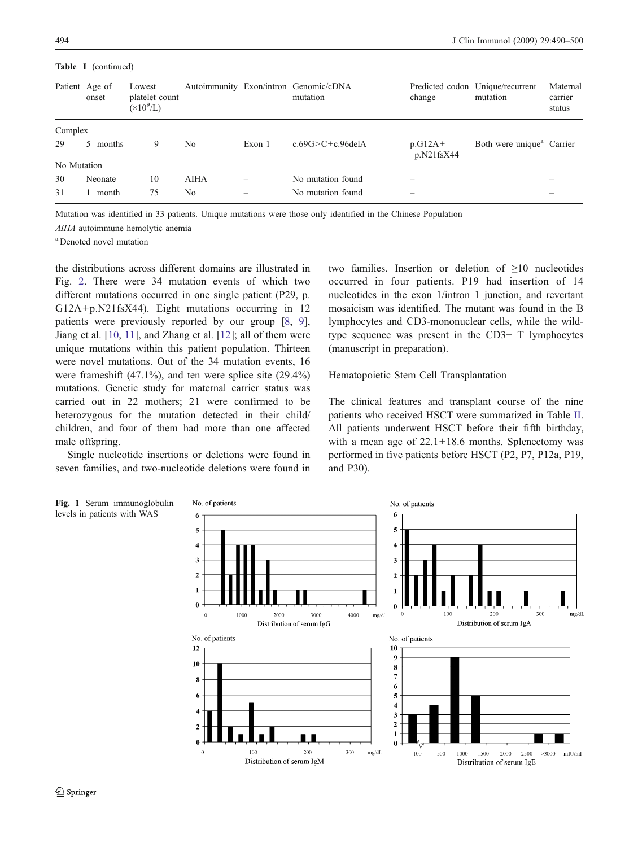<span id="page-4-0"></span>Table I (continued)

|             | Patient Age of<br>onset | Lowest<br>platelet count<br>$(\times 10^9$ /L) |      |        | Autoimmunity Exon/intron Genomic/cDNA<br>mutation | change                  | Predicted codon Unique/recurrent<br>mutation | Maternal<br>carrier<br>status |
|-------------|-------------------------|------------------------------------------------|------|--------|---------------------------------------------------|-------------------------|----------------------------------------------|-------------------------------|
| Complex     |                         |                                                |      |        |                                                   |                         |                                              |                               |
| 29          | 5 months                | 9                                              | No   | Exon 1 | c.69G $>$ C+c.96delA                              | $p.G12A+$<br>p.N21fsX44 | Both were unique <sup>a</sup> Carrier        |                               |
| No Mutation |                         |                                                |      |        |                                                   |                         |                                              |                               |
| 30          | Neonate                 | 10                                             | AIHA | -      | No mutation found                                 |                         |                                              |                               |
| 31          | month                   | 75                                             | No   |        | No mutation found                                 |                         |                                              |                               |

Mutation was identified in 33 patients. Unique mutations were those only identified in the Chinese Population

AIHA autoimmune hemolytic anemia

a Denoted novel mutation

the distributions across different domains are illustrated in Fig. [2](#page-5-0). There were 34 mutation events of which two different mutations occurred in one single patient (P29, p. G12A+p.N21fsX44). Eight mutations occurring in 12 patients were previously reported by our group [[8,](#page-10-0) [9](#page-10-0)], Jiang et al. [[10,](#page-10-0) [11](#page-10-0)], and Zhang et al. [[12\]](#page-10-0); all of them were unique mutations within this patient population. Thirteen were novel mutations. Out of the 34 mutation events, 16 were frameshift  $(47.1\%)$ , and ten were splice site  $(29.4\%)$ mutations. Genetic study for maternal carrier status was carried out in 22 mothers; 21 were confirmed to be heterozygous for the mutation detected in their child/ children, and four of them had more than one affected male offspring.

Single nucleotide insertions or deletions were found in seven families, and two-nucleotide deletions were found in two families. Insertion or deletion of ≥10 nucleotides occurred in four patients. P19 had insertion of 14 nucleotides in the exon 1/intron 1 junction, and revertant mosaicism was identified. The mutant was found in the B lymphocytes and CD3-mononuclear cells, while the wildtype sequence was present in the CD3+ T lymphocytes (manuscript in preparation).

Hematopoietic Stem Cell Transplantation

The clinical features and transplant course of the nine patients who received HSCT were summarized in Table [II](#page-6-0). All patients underwent HSCT before their fifth birthday, with a mean age of  $22.1 \pm 18.6$  months. Splenectomy was performed in five patients before HSCT (P2, P7, P12a, P19, and P30).

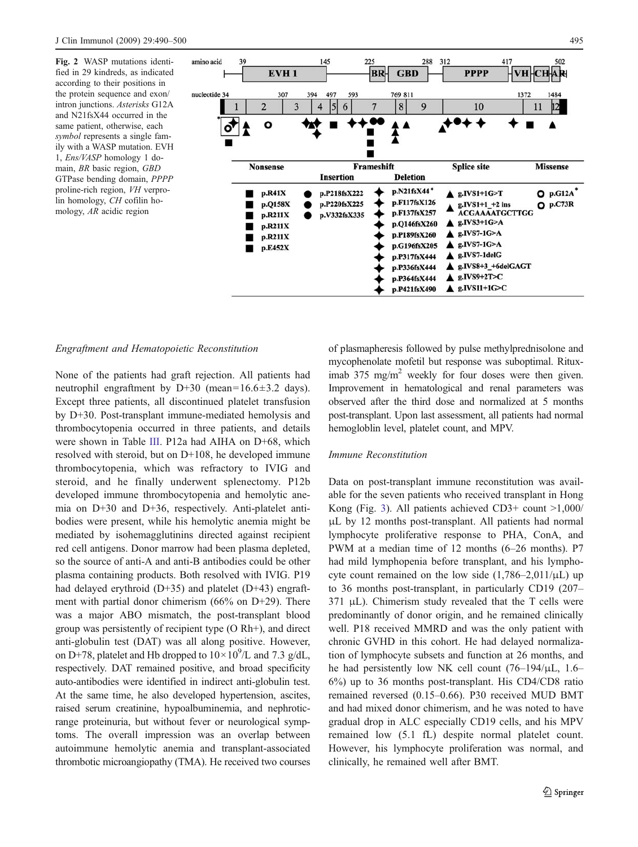<span id="page-5-0"></span>Fig. 2 WASP mutations identified in 29 kindreds, as indicated according to their positions in the protein sequence and exon/ intron junctions. Asterisks G12A and N21fsX44 occurred in the same patient, otherwise, each symbol represents a single family with a WASP mutation. EVH 1, Ens/VASP homology 1 domain, BR basic region, GBD GTPase bending domain, PPPP proline-rich region, VH verprolin homology, CH cofilin homology, AR acidic region



#### Engraftment and Hematopoietic Reconstitution

None of the patients had graft rejection. All patients had neutrophil engraftment by D+30 (mean= $16.6 \pm 3.2$  days). Except three patients, all discontinued platelet transfusion by D+30. Post-transplant immune-mediated hemolysis and thrombocytopenia occurred in three patients, and details were shown in Table [III](#page-7-0). P12a had AIHA on D+68, which resolved with steroid, but on D+108, he developed immune thrombocytopenia, which was refractory to IVIG and steroid, and he finally underwent splenectomy. P12b developed immune thrombocytopenia and hemolytic anemia on D+30 and D+36, respectively. Anti-platelet antibodies were present, while his hemolytic anemia might be mediated by isohemagglutinins directed against recipient red cell antigens. Donor marrow had been plasma depleted, so the source of anti-A and anti-B antibodies could be other plasma containing products. Both resolved with IVIG. P19 had delayed erythroid (D+35) and platelet (D+43) engraftment with partial donor chimerism (66% on D+29). There was a major ABO mismatch, the post-transplant blood group was persistently of recipient type (O Rh+), and direct anti-globulin test (DAT) was all along positive. However, on D+78, platelet and Hb dropped to  $10 \times 10^9$ /L and 7.3 g/dL, respectively. DAT remained positive, and broad specificity auto-antibodies were identified in indirect anti-globulin test. At the same time, he also developed hypertension, ascites, raised serum creatinine, hypoalbuminemia, and nephroticrange proteinuria, but without fever or neurological symptoms. The overall impression was an overlap between autoimmune hemolytic anemia and transplant-associated thrombotic microangiopathy (TMA). He received two courses

of plasmapheresis followed by pulse methylprednisolone and mycophenolate mofetil but response was suboptimal. Rituximab 375 mg/m<sup>2</sup> weekly for four doses were then given. Improvement in hematological and renal parameters was observed after the third dose and normalized at 5 months post-transplant. Upon last assessment, all patients had normal hemogloblin level, platelet count, and MPV.

## Immune Reconstitution

Data on post-transplant immune reconstitution was available for the seven patients who received transplant in Hong Kong (Fig. [3\)](#page-8-0). All patients achieved CD3+ count >1,000/ μL by 12 months post-transplant. All patients had normal lymphocyte proliferative response to PHA, ConA, and PWM at a median time of 12 months (6–26 months). P7 had mild lymphopenia before transplant, and his lymphocyte count remained on the low side  $(1,786-2,011/\mu L)$  up to 36 months post-transplant, in particularly CD19 (207–  $371 \mu L$ ). Chimerism study revealed that the T cells were predominantly of donor origin, and he remained clinically well. P18 received MMRD and was the only patient with chronic GVHD in this cohort. He had delayed normalization of lymphocyte subsets and function at 26 months, and he had persistently low NK cell count  $(76-194/\mu L, 1.6-$ 6%) up to 36 months post-transplant. His CD4/CD8 ratio remained reversed (0.15–0.66). P30 received MUD BMT and had mixed donor chimerism, and he was noted to have gradual drop in ALC especially CD19 cells, and his MPV remained low (5.1 fL) despite normal platelet count. However, his lymphocyte proliferation was normal, and clinically, he remained well after BMT.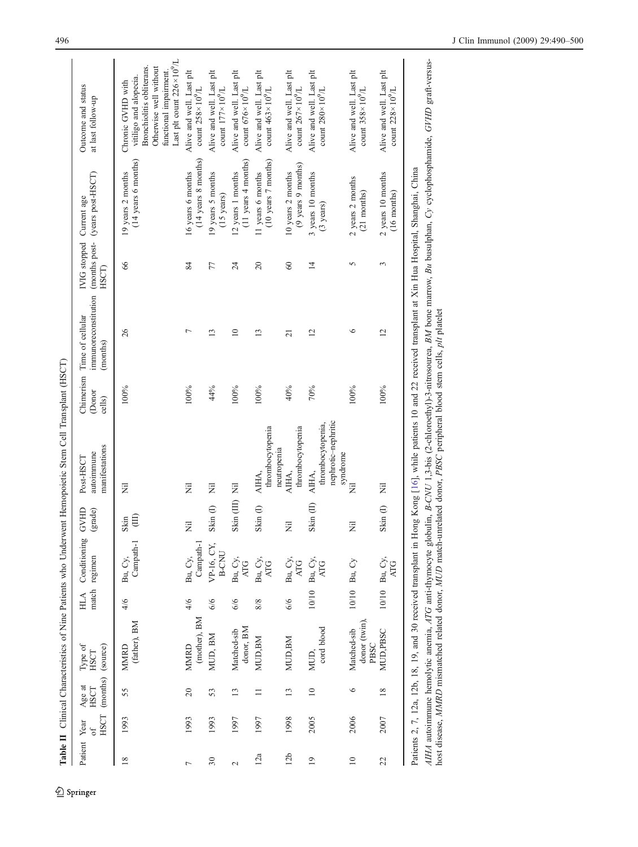| $\overline{\phantom{a}}$                                                               |                    |
|----------------------------------------------------------------------------------------|--------------------|
|                                                                                        |                    |
|                                                                                        |                    |
|                                                                                        |                    |
|                                                                                        |                    |
|                                                                                        |                    |
|                                                                                        |                    |
|                                                                                        |                    |
|                                                                                        |                    |
|                                                                                        |                    |
|                                                                                        |                    |
|                                                                                        |                    |
|                                                                                        |                    |
|                                                                                        |                    |
|                                                                                        |                    |
|                                                                                        |                    |
|                                                                                        |                    |
|                                                                                        |                    |
|                                                                                        |                    |
|                                                                                        |                    |
|                                                                                        |                    |
|                                                                                        |                    |
| j                                                                                      |                    |
|                                                                                        |                    |
|                                                                                        |                    |
|                                                                                        |                    |
|                                                                                        |                    |
|                                                                                        |                    |
|                                                                                        |                    |
|                                                                                        |                    |
|                                                                                        |                    |
|                                                                                        |                    |
|                                                                                        |                    |
| $\overline{a}$                                                                         |                    |
|                                                                                        |                    |
|                                                                                        |                    |
|                                                                                        |                    |
|                                                                                        |                    |
|                                                                                        |                    |
|                                                                                        |                    |
|                                                                                        |                    |
|                                                                                        |                    |
|                                                                                        |                    |
|                                                                                        |                    |
|                                                                                        |                    |
|                                                                                        |                    |
|                                                                                        |                    |
|                                                                                        |                    |
|                                                                                        |                    |
|                                                                                        |                    |
|                                                                                        |                    |
|                                                                                        |                    |
|                                                                                        |                    |
|                                                                                        |                    |
| i<br>!                                                                                 |                    |
|                                                                                        |                    |
|                                                                                        |                    |
|                                                                                        |                    |
|                                                                                        |                    |
|                                                                                        |                    |
|                                                                                        |                    |
|                                                                                        |                    |
|                                                                                        |                    |
|                                                                                        |                    |
|                                                                                        |                    |
|                                                                                        |                    |
|                                                                                        |                    |
|                                                                                        |                    |
|                                                                                        |                    |
|                                                                                        |                    |
|                                                                                        |                    |
| .<br>י                                                                                 |                    |
|                                                                                        |                    |
|                                                                                        |                    |
|                                                                                        |                    |
|                                                                                        |                    |
|                                                                                        |                    |
|                                                                                        |                    |
|                                                                                        |                    |
|                                                                                        |                    |
|                                                                                        |                    |
|                                                                                        |                    |
|                                                                                        |                    |
|                                                                                        |                    |
|                                                                                        |                    |
| -<br>-<br>-<br>-<br>-<br>-<br>-<br>-<br>-<br><br>-<br><br><br><br><br><br><br><br><br> | $\frac{1}{4}$<br>è |

<span id="page-6-0"></span>

|                 |                    |                                          |                                     |            |                               |                                           | Table II Clinical Characteristics of Nine Patients who Underwent Hemopoietic Stem Cell Transplant (HSCT) |                               |                                                                                      |                                   |                                                            |                                                                                                                                                                     |
|-----------------|--------------------|------------------------------------------|-------------------------------------|------------|-------------------------------|-------------------------------------------|----------------------------------------------------------------------------------------------------------|-------------------------------|--------------------------------------------------------------------------------------|-----------------------------------|------------------------------------------------------------|---------------------------------------------------------------------------------------------------------------------------------------------------------------------|
|                 | Patient Year<br>of | HSCT (months) (source)<br>Age at<br>HSCT | Type of<br>HSCT                     | <b>HLA</b> | Conditioning<br>match regimen | GVHD<br>(grade)                           | manifestations<br>autoimmune<br>Post-HSCT                                                                | Chimerism<br>(Donor<br>cells) | immunoreconstitution (months post- (years post-HSCT)<br>Time of cellular<br>(months) | IVIG stopped Current age<br>HSCT) |                                                            | Outcome and status<br>at last follow-up                                                                                                                             |
| $\frac{8}{2}$   | 1993               | 55                                       | (father), BM<br><b>MMRD</b>         | 4/6        | Campath-1<br>Bu, Cy,          | $\widehat{\Xi}$<br>Skin                   | Ë                                                                                                        | 100%                          | 26                                                                                   | 66                                | (14 years 6 months)<br>19 years 2 months                   | Last plt count $226 \times 10^9$ /L<br>Bronchiolitis obliterans.<br>Otherwise well without<br>functional impairment.<br>vitiligo and alopecia.<br>Chronic GVHD with |
| $\overline{ }$  | 1993               | 20                                       | (mother), BM<br><b>MMRD</b>         | 4/6        | Campath-1<br>Bu, Cy,          | 艺                                         | Ξ                                                                                                        | 100%                          | Γ                                                                                    | 84                                | (14 years 8 months)<br>16 years 6 months                   | Alive and well. Last plt<br>count $258 \times 10^9$ /L                                                                                                              |
| 30              | 1993               | 53                                       | MUD, BM                             | 6/6        | VP-16, CY,<br>B-CNU           | Skin (l)                                  | Ë                                                                                                        | 44%                           | 13                                                                                   | 77                                | 19 years 5 months<br>$(15 \text{ years})$                  | Alive and well. Last plt<br>count $177 \times 10^9$ /L                                                                                                              |
| $\mathbf{\sim}$ | 1997               | 13                                       | donor, BM<br>Matched-sib            | 6/6        | Bu, Cy,<br><b>ATG</b>         | Skin (III) Nil                            |                                                                                                          | 100%                          | $\approx$                                                                            | $\overline{24}$                   | (11 years 4 months)<br>12 years 1 months                   | Alive and well. Last plt<br>count $676 \times 10^9$ /L                                                                                                              |
| 12a             | 1997               | $\Box$                                   | <b>MUD, BM</b>                      | 8/8        | Bu, Cy,<br><b>ATG</b>         | Skin $\left(\!\!\left[\right]\!\!\right)$ | thrombocytopenia<br>neutropenia<br>AIHA,                                                                 | 100%                          | $\mathbf{r}$                                                                         | 20                                | (10 years 7 months)<br>11 years 6 months                   | Alive and well. Last plt<br>count $463 \times 10^9$ /L                                                                                                              |
| 12 <sub>b</sub> | 1998               | 13                                       | <b>MUD.BM</b>                       | 6/6        | Bu, Cy,<br><b>ATG</b>         | Ξ                                         | thrombocytopenia<br>AIHA.                                                                                | 40%                           | $\overline{c}$                                                                       | $60\,$                            | $(9 \text{ years } 9 \text{ months})$<br>10 years 2 months | Alive and well. Last plt<br>count $267 \times 10^9$ /L                                                                                                              |
| $\overline{19}$ | 2005               | $\overline{10}$                          | cord blood<br>MUD.                  |            | 10/10 Bu, Cy,                 | Skin (II)                                 | nephrotic-nephritic<br>thrombocytopenia.<br>syndrome<br>AIHA.                                            | 70%                           | $\overline{c}$                                                                       | $\overline{1}$                    | 3 years 10 months<br>$(3$ years)                           | Alive and well. Last plt<br>count $280 \times 10^9$ /L                                                                                                              |
| $\overline{10}$ | 2006               | ७                                        | donor (twin)<br>Matched-sib<br>PBSC |            | 10/10 Bu, Cy                  | Ξ                                         | Ξ                                                                                                        | 100%                          | $\circ$                                                                              | 5                                 | 2 years 2 months<br>(21 months)                            | Alive and well. Last plt<br>count $358 \times 10^9$ /L                                                                                                              |
| 22              | 2007               | 18                                       | <b>MUD,PBSC</b>                     |            | 10/10 Bu, Cy,                 | Skin $(1)$                                | $\overline{z}$                                                                                           | 100%                          | $\overline{2}$                                                                       |                                   | 2 years 10 months                                          | Alive and well. Last plt                                                                                                                                            |

10/10 Bu,  $Cy$ , ATG

Patients 2, 7, 12a, 12b, 18, 19, and 30 received transplant in Hong Kong [\[16\]](#page-10-0), while patients 10 and 22 received transplant at Xin Hua Hospital, Shanghai, China

Patients 2, 7, 12a, 12b, 18, 19, and 30 received transplant in Hong Kong [16], while patients 10 and 22 received transplant at Xin Hua Hospital, Shanghai, China

AIHA autoimmune hemolytic anemia, ATG anti-thymocyte globulin, B-CNU 1,3-bis (2-chloroethyl)-3-nitrosourea, BM bone marrow, Bu busulphan, Cy cyclophosphamide, GVHD graft-versus-

AIHA autoimmune hemolytic anemia, ATG anti-thymocyte globulin, B-CNU 1,3-bis (2-chloroethyl)-3-nitrosourea, BM bone marrow, Bu busulphan, Cy cyclophosphamide, GVHD graft-versus-<br>host disease, MMRD mismatched related donor,

host disease, MMRD mismatched related donor, MUD match-unrelated donor, PBSC peripheral blood stem cells, plt platelet

Skin $(1)$ 

(16 months)

 $2$  years 10 months<br>(16 months)

Alive and well. Last plt count  $228\times10^{9}$ /L

Alive and well. Last plt count  $228\times10^9/\text{L}$ 

Springer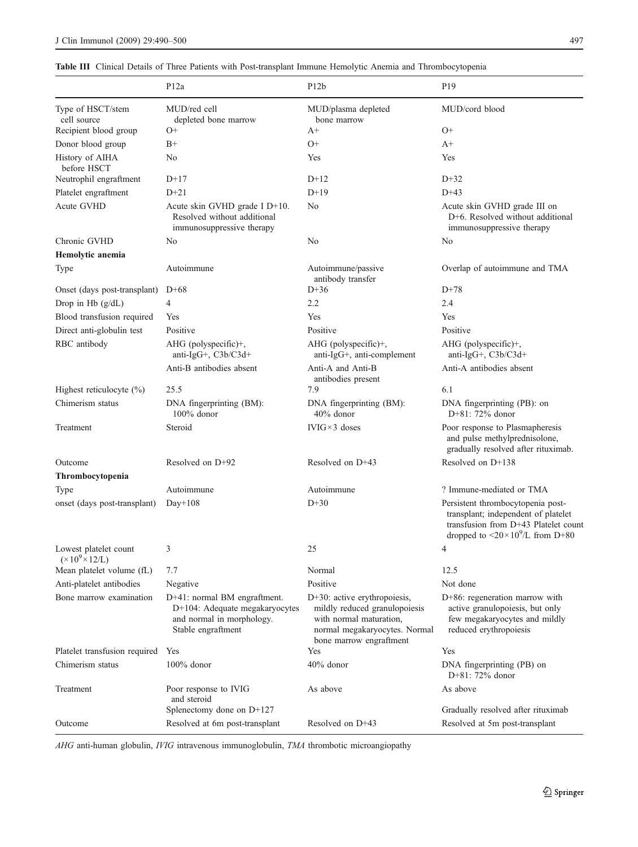<span id="page-7-0"></span>Table III Clinical Details of Three Patients with Post-transplant Immune Hemolytic Anemia and Thrombocytopenia

|                                                      | P <sub>12a</sub>                                                                                                  | P12b                                                                                                                                                    | P <sub>19</sub>                                                                                                                                                           |
|------------------------------------------------------|-------------------------------------------------------------------------------------------------------------------|---------------------------------------------------------------------------------------------------------------------------------------------------------|---------------------------------------------------------------------------------------------------------------------------------------------------------------------------|
| Type of HSCT/stem<br>cell source                     | MUD/red cell<br>depleted bone marrow                                                                              | MUD/plasma depleted<br>bone marrow                                                                                                                      | MUD/cord blood                                                                                                                                                            |
| Recipient blood group                                | O+                                                                                                                | $A+$                                                                                                                                                    | $O+$                                                                                                                                                                      |
| Donor blood group                                    | $_{\rm B+}$                                                                                                       | $O+$                                                                                                                                                    | $A+$                                                                                                                                                                      |
| History of AIHA<br>before HSCT                       | No                                                                                                                | Yes                                                                                                                                                     | Yes                                                                                                                                                                       |
| Neutrophil engraftment                               | $D+17$                                                                                                            | $D+12$                                                                                                                                                  | $D+32$                                                                                                                                                                    |
| Platelet engraftment                                 | $D+21$                                                                                                            | $D+19$                                                                                                                                                  | $D+43$                                                                                                                                                                    |
| Acute GVHD                                           | Acute skin GVHD grade I D+10.<br>Resolved without additional<br>immunosuppressive therapy                         | No                                                                                                                                                      | Acute skin GVHD grade III on<br>D+6. Resolved without additional<br>immunosuppressive therapy                                                                             |
| Chronic GVHD                                         | No                                                                                                                | No                                                                                                                                                      | No                                                                                                                                                                        |
| Hemolytic anemia                                     |                                                                                                                   |                                                                                                                                                         |                                                                                                                                                                           |
| Type                                                 | Autoimmune                                                                                                        | Autoimmune/passive<br>antibody transfer                                                                                                                 | Overlap of autoimmune and TMA                                                                                                                                             |
| Onset (days post-transplant)                         | $D+68$                                                                                                            | $D+36$                                                                                                                                                  | $D+78$                                                                                                                                                                    |
| Drop in Hb $(g/dL)$                                  | 4                                                                                                                 | 2.2                                                                                                                                                     | 2.4                                                                                                                                                                       |
| Blood transfusion required                           | Yes                                                                                                               | Yes                                                                                                                                                     | Yes                                                                                                                                                                       |
| Direct anti-globulin test                            | Positive                                                                                                          | Positive                                                                                                                                                | Positive                                                                                                                                                                  |
| RBC antibody                                         | AHG (polyspecific)+,<br>anti-IgG+, C3b/C3d+                                                                       | $AHG$ (polyspecific)+,<br>anti-IgG+, anti-complement                                                                                                    | $AHG$ (polyspecific)+,<br>anti-IgG+, C3b/C3d+                                                                                                                             |
|                                                      | Anti-B antibodies absent                                                                                          | Anti-A and Anti-B<br>antibodies present                                                                                                                 | Anti-A antibodies absent                                                                                                                                                  |
| Highest reticulocyte (%)                             | 25.5                                                                                                              | 7.9                                                                                                                                                     | 6.1                                                                                                                                                                       |
| Chimerism status                                     | DNA fingerprinting (BM):<br>$100\%$ donor                                                                         | DNA fingerprinting (BM):<br>$40\%$ donor                                                                                                                | DNA fingerprinting (PB): on<br>$D+81: 72\%$ donor                                                                                                                         |
| Treatment                                            | Steroid                                                                                                           | $IVIG \times 3$ doses                                                                                                                                   | Poor response to Plasmapheresis<br>and pulse methylprednisolone,<br>gradually resolved after rituximab.                                                                   |
| Outcome                                              | Resolved on D+92                                                                                                  | Resolved on D+43                                                                                                                                        | Resolved on D+138                                                                                                                                                         |
| Thrombocytopenia                                     |                                                                                                                   |                                                                                                                                                         |                                                                                                                                                                           |
| Type                                                 | Autoimmune                                                                                                        | Autoimmune                                                                                                                                              | ? Immune-mediated or TMA                                                                                                                                                  |
| onset (days post-transplant)                         | $Day+108$                                                                                                         | $D+30$                                                                                                                                                  | Persistent thrombocytopenia post-<br>transplant; independent of platelet<br>transfusion from D+43 Platelet count<br>dropped to $\langle 20 \times 10^9 \rangle$ from D+80 |
| Lowest platelet count<br>$(\times 10^9 \times 12/L)$ | 3                                                                                                                 | 25                                                                                                                                                      | 4                                                                                                                                                                         |
| Mean platelet volume (fL)                            | 7.7                                                                                                               | Normal                                                                                                                                                  | 12.5                                                                                                                                                                      |
| Anti-platelet antibodies                             | Negative                                                                                                          | Positive                                                                                                                                                | Not done                                                                                                                                                                  |
| Bone marrow examination                              | D+41: normal BM engraftment.<br>D+104: Adequate megakaryocytes<br>and normal in morphology.<br>Stable engraftment | $D+30$ : active erythropoiesis,<br>mildly reduced granulopoiesis<br>with normal maturation,<br>normal megakaryocytes. Normal<br>bone marrow engraftment | D+86: regeneration marrow with<br>active granulopoiesis, but only<br>few megakaryocytes and mildly<br>reduced erythropoiesis                                              |
| Platelet transfusion required Yes                    |                                                                                                                   | Yes                                                                                                                                                     | Yes                                                                                                                                                                       |
| Chimerism status                                     | $100\%$ donor                                                                                                     | 40% donor                                                                                                                                               | DNA fingerprinting (PB) on<br>$D+81: 72\%$ donor                                                                                                                          |
| Treatment                                            | Poor response to IVIG<br>and steroid                                                                              | As above                                                                                                                                                | As above                                                                                                                                                                  |
|                                                      | Splenectomy done on D+127                                                                                         |                                                                                                                                                         | Gradually resolved after rituximab                                                                                                                                        |
| Outcome                                              | Resolved at 6m post-transplant                                                                                    | Resolved on D+43                                                                                                                                        | Resolved at 5m post-transplant                                                                                                                                            |

AHG anti-human globulin, IVIG intravenous immunoglobulin, TMA thrombotic microangiopathy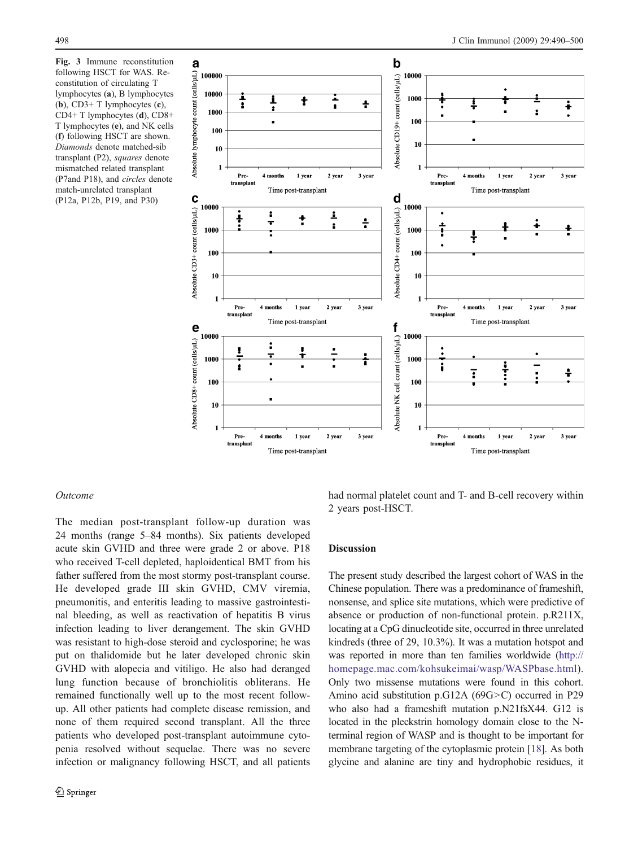<span id="page-8-0"></span>Fig. 3 Immune reconstitution following HSCT for WAS. Reconstitution of circulating T lymphocytes (a), B lymphocytes (b),  $CD3+T$  lymphocytes  $(c)$ , CD4+ T lymphocytes (d), CD8+ T lymphocytes (e), and NK cells (f) following HSCT are shown. Diamonds denote matched-sib transplant (P2), squares denote mismatched related transplant (P7and P18), and circles denote match-unrelated transplant (P12a, P12b, P19, and P30)



#### Outcome

The median post-transplant follow-up duration was 24 months (range 5–84 months). Six patients developed acute skin GVHD and three were grade 2 or above. P18 who received T-cell depleted, haploidentical BMT from his father suffered from the most stormy post-transplant course. He developed grade III skin GVHD, CMV viremia, pneumonitis, and enteritis leading to massive gastrointestinal bleeding, as well as reactivation of hepatitis B virus infection leading to liver derangement. The skin GVHD was resistant to high-dose steroid and cyclosporine; he was put on thalidomide but he later developed chronic skin GVHD with alopecia and vitiligo. He also had deranged lung function because of bronchiolitis obliterans. He remained functionally well up to the most recent followup. All other patients had complete disease remission, and none of them required second transplant. All the three patients who developed post-transplant autoimmune cytopenia resolved without sequelae. There was no severe infection or malignancy following HSCT, and all patients

had normal platelet count and T- and B-cell recovery within 2 years post-HSCT.

## Discussion

The present study described the largest cohort of WAS in the Chinese population. There was a predominance of frameshift, nonsense, and splice site mutations, which were predictive of absence or production of non-functional protein. p.R211X, locating at a CpG dinucleotide site, occurred in three unrelated kindreds (three of 29, 10.3%). It was a mutation hotspot and was reported in more than ten families worldwide [\(http://](http://homepage.mac.com/kohsukeimai/wasp/WASPbase.html) [homepage.mac.com/kohsukeimai/wasp/WASPbase.html](http://homepage.mac.com/kohsukeimai/wasp/WASPbase.html)). Only two missense mutations were found in this cohort. Amino acid substitution p.G12A (69G>C) occurred in P29 who also had a frameshift mutation p.N21fsX44. G12 is located in the pleckstrin homology domain close to the Nterminal region of WASP and is thought to be important for membrane targeting of the cytoplasmic protein [[18](#page-10-0)]. As both glycine and alanine are tiny and hydrophobic residues, it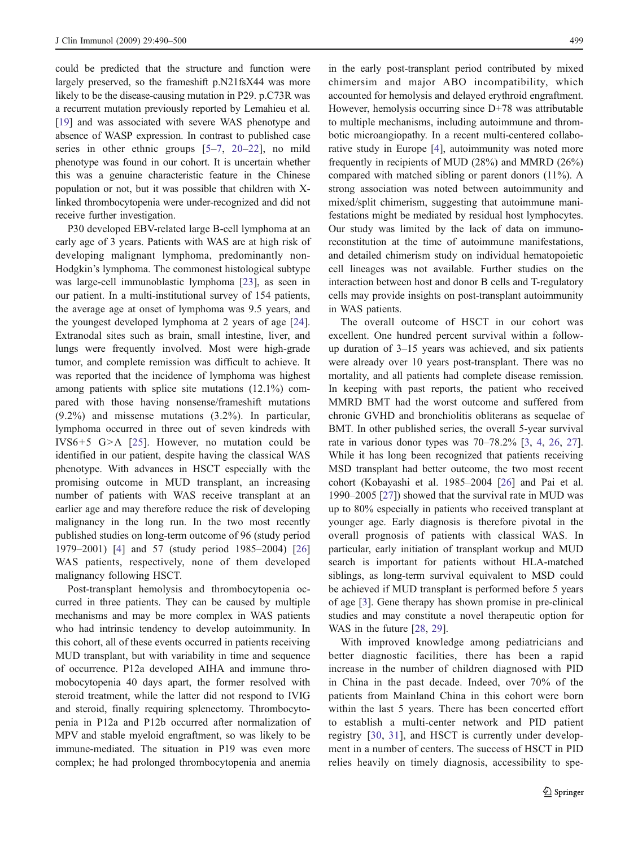could be predicted that the structure and function were largely preserved, so the frameshift p.N21fsX44 was more likely to be the disease-causing mutation in P29. p.C73R was a recurrent mutation previously reported by Lemahieu et al. [[19\]](#page-10-0) and was associated with severe WAS phenotype and absence of WASP expression. In contrast to published case series in other ethnic groups [[5](#page-10-0)–[7](#page-10-0), [20](#page-10-0)–[22](#page-10-0)], no mild phenotype was found in our cohort. It is uncertain whether this was a genuine characteristic feature in the Chinese population or not, but it was possible that children with Xlinked thrombocytopenia were under-recognized and did not receive further investigation.

P30 developed EBV-related large B-cell lymphoma at an early age of 3 years. Patients with WAS are at high risk of developing malignant lymphoma, predominantly non-Hodgkin's lymphoma. The commonest histological subtype was large-cell immunoblastic lymphoma [[23\]](#page-10-0), as seen in our patient. In a multi-institutional survey of 154 patients, the average age at onset of lymphoma was 9.5 years, and the youngest developed lymphoma at 2 years of age [\[24](#page-10-0)]. Extranodal sites such as brain, small intestine, liver, and lungs were frequently involved. Most were high-grade tumor, and complete remission was difficult to achieve. It was reported that the incidence of lymphoma was highest among patients with splice site mutations (12.1%) compared with those having nonsense/frameshift mutations (9.2%) and missense mutations (3.2%). In particular, lymphoma occurred in three out of seven kindreds with IVS6+5 G>A [[25\]](#page-10-0). However, no mutation could be identified in our patient, despite having the classical WAS phenotype. With advances in HSCT especially with the promising outcome in MUD transplant, an increasing number of patients with WAS receive transplant at an earlier age and may therefore reduce the risk of developing malignancy in the long run. In the two most recently published studies on long-term outcome of 96 (study period 1979–2001) [[4\]](#page-10-0) and 57 (study period 1985–2004) [[26\]](#page-10-0) WAS patients, respectively, none of them developed malignancy following HSCT.

Post-transplant hemolysis and thrombocytopenia occurred in three patients. They can be caused by multiple mechanisms and may be more complex in WAS patients who had intrinsic tendency to develop autoimmunity. In this cohort, all of these events occurred in patients receiving MUD transplant, but with variability in time and sequence of occurrence. P12a developed AIHA and immune thromobocytopenia 40 days apart, the former resolved with steroid treatment, while the latter did not respond to IVIG and steroid, finally requiring splenectomy. Thrombocytopenia in P12a and P12b occurred after normalization of MPV and stable myeloid engraftment, so was likely to be immune-mediated. The situation in P19 was even more complex; he had prolonged thrombocytopenia and anemia

in the early post-transplant period contributed by mixed chimersim and major ABO incompatibility, which accounted for hemolysis and delayed erythroid engraftment. However, hemolysis occurring since D+78 was attributable to multiple mechanisms, including autoimmune and thrombotic microangiopathy. In a recent multi-centered collaborative study in Europe [[4\]](#page-10-0), autoimmunity was noted more frequently in recipients of MUD (28%) and MMRD (26%) compared with matched sibling or parent donors (11%). A strong association was noted between autoimmunity and mixed/split chimerism, suggesting that autoimmune manifestations might be mediated by residual host lymphocytes. Our study was limited by the lack of data on immunoreconstitution at the time of autoimmune manifestations, and detailed chimerism study on individual hematopoietic cell lineages was not available. Further studies on the interaction between host and donor B cells and T-regulatory cells may provide insights on post-transplant autoimmunity in WAS patients.

The overall outcome of HSCT in our cohort was excellent. One hundred percent survival within a followup duration of 3–15 years was achieved, and six patients were already over 10 years post-transplant. There was no mortality, and all patients had complete disease remission. In keeping with past reports, the patient who received MMRD BMT had the worst outcome and suffered from chronic GVHD and bronchiolitis obliterans as sequelae of BMT. In other published series, the overall 5-year survival rate in various donor types was 70–78.2% [[3,](#page-10-0) [4](#page-10-0), [26,](#page-10-0) [27](#page-10-0)]. While it has long been recognized that patients receiving MSD transplant had better outcome, the two most recent cohort (Kobayashi et al. 1985–2004 [[26\]](#page-10-0) and Pai et al. 1990–2005 [[27\]](#page-10-0)) showed that the survival rate in MUD was up to 80% especially in patients who received transplant at younger age. Early diagnosis is therefore pivotal in the overall prognosis of patients with classical WAS. In particular, early initiation of transplant workup and MUD search is important for patients without HLA-matched siblings, as long-term survival equivalent to MSD could be achieved if MUD transplant is performed before 5 years of age [\[3](#page-10-0)]. Gene therapy has shown promise in pre-clinical studies and may constitute a novel therapeutic option for WAS in the future [\[28](#page-10-0), [29](#page-10-0)].

With improved knowledge among pediatricians and better diagnostic facilities, there has been a rapid increase in the number of children diagnosed with PID in China in the past decade. Indeed, over 70% of the patients from Mainland China in this cohort were born within the last 5 years. There has been concerted effort to establish a multi-center network and PID patient registry [\[30](#page-10-0), [31](#page-10-0)], and HSCT is currently under development in a number of centers. The success of HSCT in PID relies heavily on timely diagnosis, accessibility to spe